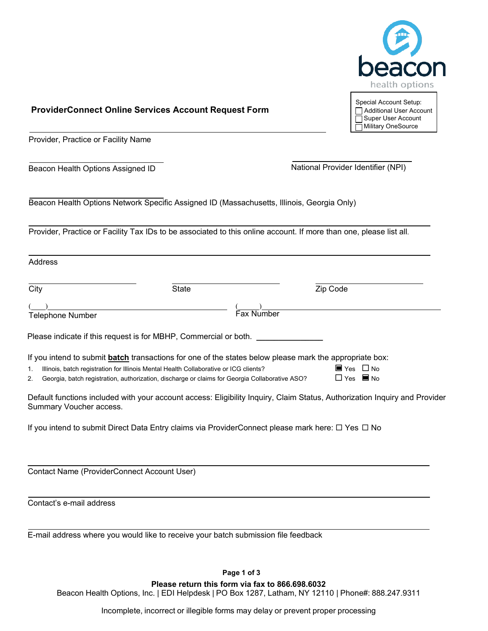

# **ProviderConnect Online Services Account Request Form**

Provider, Practice or Facility Name

Beacon Health Options Assigned ID National Provider Identifier (NPI)

Address

Beacon Health Options Network Specific Assigned ID (Massachusetts, Illinois, Georgia Only)

Provider, Practice or Facility Tax IDs to be associated to this online account. If more than one, please list all.

| City                                                                                                                                                                                                                                                                                               | State      | Zip Code                                                      |
|----------------------------------------------------------------------------------------------------------------------------------------------------------------------------------------------------------------------------------------------------------------------------------------------------|------------|---------------------------------------------------------------|
| <b>Telephone Number</b>                                                                                                                                                                                                                                                                            | Fax Number |                                                               |
| Please indicate if this request is for MBHP, Commercial or both.                                                                                                                                                                                                                                   |            |                                                               |
| If you intend to submit batch transactions for one of the states below please mark the appropriate box:<br>Illinois, batch registration for Illinois Mental Health Collaborative or ICG clients?<br>Georgia, batch registration, authorization, discharge or claims for Georgia Collaborative ASO? |            | $\blacksquare$ Yes $\Box$ No.<br>$\Box$ Yes $\blacksquare$ No |

Default functions included with your account access: Eligibility Inquiry, Claim Status, Authorization Inquiry and Provider Summary Voucher access.

If you intend to submit Direct Data Entry claims via ProviderConnect please mark here:  $\Box$  Yes  $\Box$  No

Contact Name (ProviderConnect Account User)

Contact's e-mail address

E-mail address where you would like to receive your batch submission file feedback

**Page 1 of 3**

**Please return this form via fax to 866.698.6032**

Beacon Health Options, Inc. | EDI Helpdesk | PO Box 1287, Latham, NY 12110 | Phone#: 888.247.9311

Incomplete, incorrect or illegible forms may delay or prevent proper processing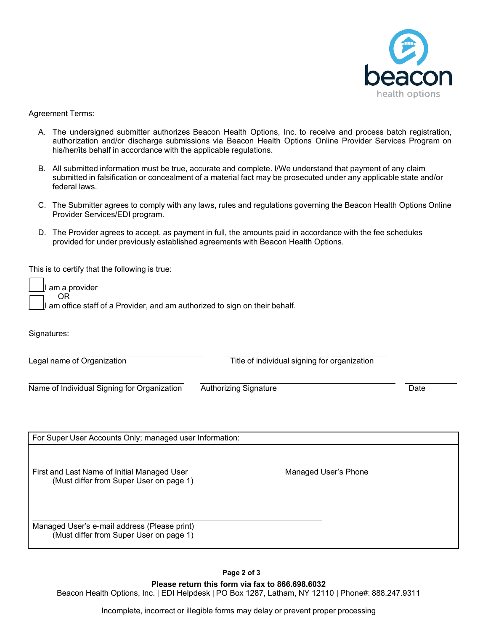

Agreement Terms:

- A. The undersigned submitter authorizes Beacon Health Options, Inc. to receive and process batch registration, authorization and/or discharge submissions via Beacon Health Options Online Provider Services Program on his/her/its behalf in accordance with the applicable regulations.
- B. All submitted information must be true, accurate and complete. I/We understand that payment of any claim submitted in falsification or concealment of a material fact may be prosecuted under any applicable state and/or federal laws.
- C. The Submitter agrees to comply with any laws, rules and regulations governing the Beacon Health Options Online Provider Services/EDI program.
- D. The Provider agrees to accept, as payment in full, the amounts paid in accordance with the fee schedules provided for under previously established agreements with Beacon Health Options.

This is to certify that the following is true:

| I am a provider                                                                      |
|--------------------------------------------------------------------------------------|
|                                                                                      |
| OR OR<br>I am office staff of a Provider, and am authorized to sign on their behalf. |

Signatures:

Ē

Legal name of Organization **Title of individual signing for organization** 

Name of Individual Signing for Organization Authorizing Signature Date

| For Super User Accounts Only; managed user Information:                                 |                      |  |
|-----------------------------------------------------------------------------------------|----------------------|--|
| First and Last Name of Initial Managed User<br>(Must differ from Super User on page 1)  | Managed User's Phone |  |
| Managed User's e-mail address (Please print)<br>(Must differ from Super User on page 1) |                      |  |

**Page 2 of 3 Please return this form via fax to 866.698.6032** Beacon Health Options, Inc. | EDI Helpdesk | PO Box 1287, Latham, NY 12110 | Phone#: 888.247.9311

Incomplete, incorrect or illegible forms may delay or prevent proper processing